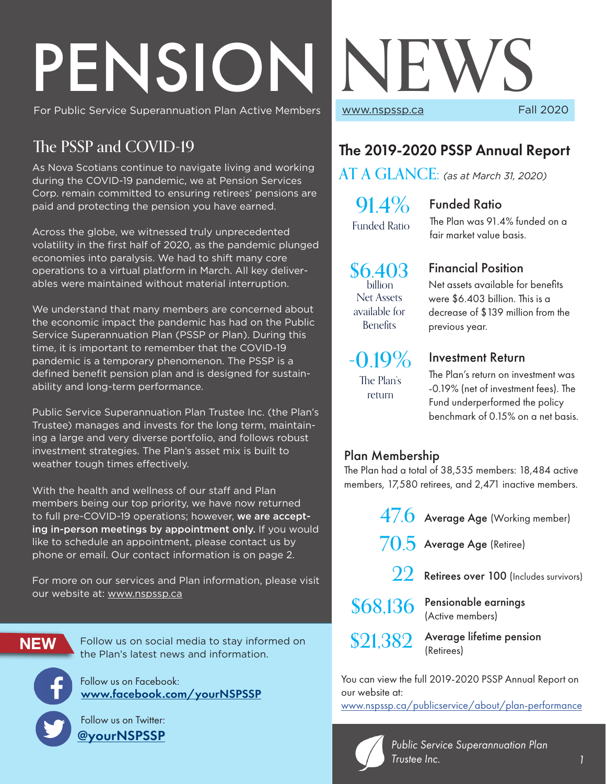# PENSION NEWS<br>For Public Service Superannuation Plan Active Members<br>Fall 2020

For Public Service Superannuation Plan Active Members

# The PSSP and COVID-19

As Nova Scotians continue to navigate living and working during the COVID-19 pandemic, we at Pension Services Corp. remain committed to ensuring retirees' pensions are paid and protecting the pension you have earned.

Across the globe, we witnessed truly unprecedented volatility in the first half of 2020, as the pandemic plunged economies into paralysis. We had to shift many core operations to a virtual platform in March. All key deliverables were maintained without material interruption.

We understand that many members are concerned about the economic impact the pandemic has had on the Public Service Superannuation Plan (PSSP or Plan). During this time, it is important to remember that the COVID-19 pandemic is a temporary phenomenon. The PSSP is a defined benefit pension plan and is designed for sustainability and long-term performance.

Public Service Superannuation Plan Trustee Inc. (the Plan's Trustee) manages and invests for the long term, maintaining a large and very diverse portfolio, and follows robust investment strategies. The Plan's asset mix is built to weather tough times effectively.

With the health and wellness of our staff and Plan members being our top priority, we have now returned to full pre-COVID-19 operations; however, we are accepting in-person meetings by appointment only. If you would like to schedule an appointment, please contact us by phone or email. Our contact information is on page 2.

For more on our services and Plan information, please visit our website at: www.nspssp.ca

**NEW**

Follow us on social media to stay informed on the Plan's latest news and information.

Follow us on Facebook: www.facebook.com/yourNSPSSP

 Follow us on Twitter: @yourNSPSSP

# The 2019-2020 PSSP Annual Report

AT A GLANCE: *(as at March 31, 2020)*

 $91.4\%$ Funded Ratio

#### Funded Ratio

The Plan was 91.4% funded on a fair market value basis.

Net assets available for benefits were \$6.403 billion. This is a decrease of \$139 million from the

 $$6.403$  Financial Position Net Assets available for **Benefits billion** 

#### previous year.

 $-0.19\%$ The Plan's

return

#### Investment Return

The Plan's return on investment was -0.19% (net of investment fees). The Fund underperformed the policy benchmark of 0.15% on a net basis.

#### Plan Membership

The Plan had a total of 38,535 members: 18,484 active members, 17,580 retirees, and 2,471 inactive members.



You can view the full 2019-2020 PSSP Annual Report on our website at:

www.nspssp.ca/publicservice/about/plan-performance

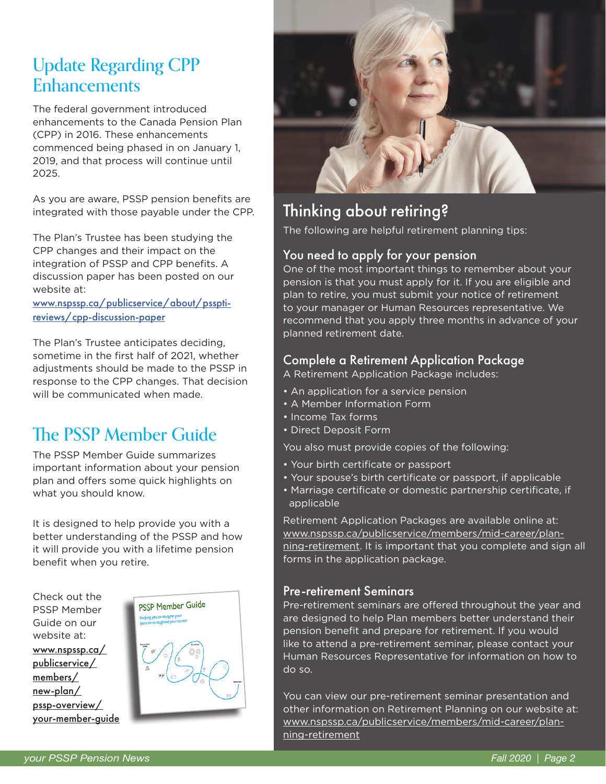# Update Regarding CPP **Enhancements**

The federal government introduced enhancements to the Canada Pension Plan (CPP) in 2016. These enhancements commenced being phased in on January 1, 2019, and that process will continue until 2025.

As you are aware, PSSP pension benefits are integrated with those payable under the CPP.

The Plan's Trustee has been studying the CPP changes and their impact on the integration of PSSP and CPP benefits. A discussion paper has been posted on our website at:

www.nspssp.ca/publicservice/about/pssptireviews/cpp-discussion-paper

The Plan's Trustee anticipates deciding, sometime in the first half of 2021, whether adjustments should be made to the PSSP in response to the CPP changes. That decision will be communicated when made.

# The PSSP Member Guide

The PSSP Member Guide summarizes important information about your pension plan and offers some quick highlights on what you should know.

It is designed to help provide you with a better understanding of the PSSP and how it will provide you with a lifetime pension benefit when you retire.







# Thinking about retiring?

The following are helpful retirement planning tips:

#### You need to apply for your pension

One of the most important things to remember about your pension is that you must apply for it. If you are eligible and plan to retire, you must submit your notice of retirement to your manager or Human Resources representative. We recommend that you apply three months in advance of your planned retirement date.

#### Complete a Retirement Application Package

A Retirement Application Package includes:

- An application for a service pension
- A Member Information Form
- Income Tax forms
- Direct Deposit Form

You also must provide copies of the following:

- Your birth certificate or passport
- Your spouse's birth certificate or passport, if applicable
- Marriage certificate or domestic partnership certificate, if applicable

Retirement Application Packages are available online at: www.nspssp.ca/publicservice/members/mid-career/planning-retirement. It is important that you complete and sign all forms in the application package.

#### Pre-retirement Seminars

Pre-retirement seminars are offered throughout the year and are designed to help Plan members better understand their pension benefit and prepare for retirement. If you would like to attend a pre-retirement seminar, please contact your Human Resources Representative for information on how to do so.

You can view our pre-retirement seminar presentation and other information on Retirement Planning on our website at: www.nspssp.ca/publicservice/members/mid-career/planning-retirement